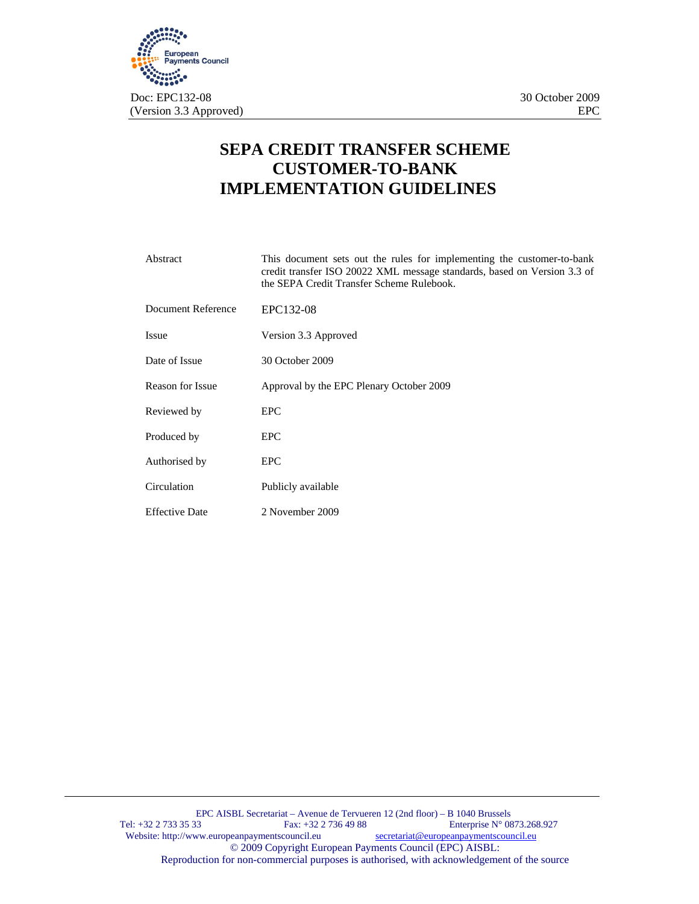

# **SEPA CREDIT TRANSFER SCHEME CUSTOMER-TO-BANK IMPLEMENTATION GUIDELINES**

| Abstract                | This document sets out the rules for implementing the customer-to-bank<br>credit transfer ISO 20022 XML message standards, based on Version 3.3 of<br>the SEPA Credit Transfer Scheme Rulebook. |
|-------------------------|-------------------------------------------------------------------------------------------------------------------------------------------------------------------------------------------------|
| Document Reference      | EPC132-08                                                                                                                                                                                       |
| <b>Issue</b>            | Version 3.3 Approved                                                                                                                                                                            |
| Date of Issue           | 30 October 2009                                                                                                                                                                                 |
| <b>Reason for Issue</b> | Approval by the EPC Plenary October 2009                                                                                                                                                        |
| Reviewed by             | <b>EPC</b>                                                                                                                                                                                      |
| Produced by             | <b>EPC</b>                                                                                                                                                                                      |
| Authorised by           | <b>EPC</b>                                                                                                                                                                                      |
| Circulation             | Publicly available                                                                                                                                                                              |
| Effective Date          | 2 November 2009                                                                                                                                                                                 |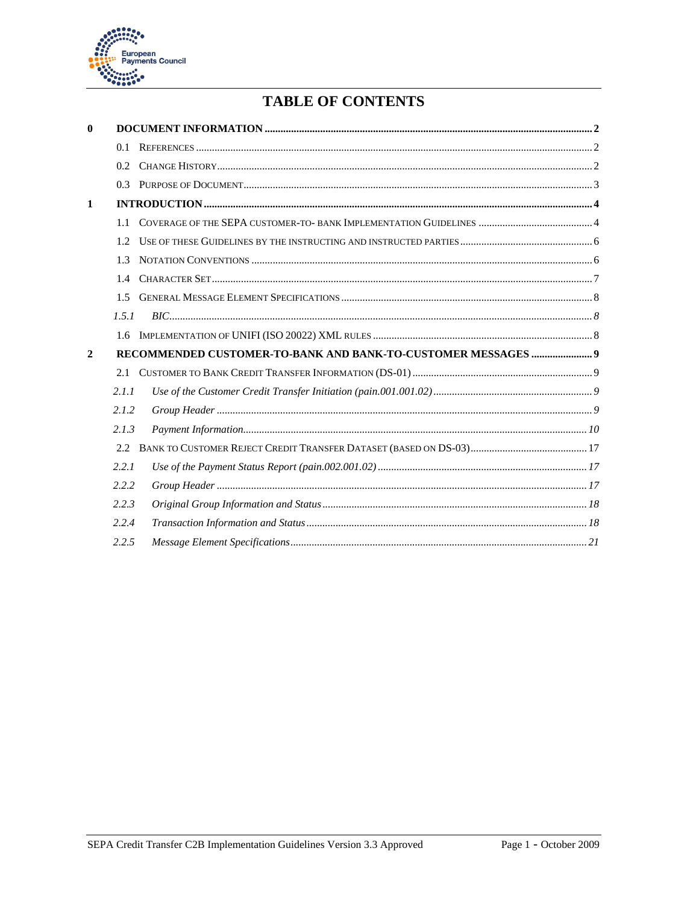

# **TABLE OF CONTENTS**

| $\mathbf{0}$ |                  |                                                               |  |
|--------------|------------------|---------------------------------------------------------------|--|
|              | 0.1              |                                                               |  |
|              | 0.2 <sub>1</sub> |                                                               |  |
|              | 0.3              |                                                               |  |
| 1            |                  |                                                               |  |
|              | 11               |                                                               |  |
|              | 1.2.             |                                                               |  |
|              | 1.3              |                                                               |  |
|              | 1.4              |                                                               |  |
|              | 1.5              |                                                               |  |
|              | 1.5.1            |                                                               |  |
|              | 1.6              |                                                               |  |
| $\mathbf{2}$ |                  | RECOMMENDED CUSTOMER-TO-BANK AND BANK-TO-CUSTOMER MESSAGES  9 |  |
|              | 2.1              |                                                               |  |
|              | 2.1.1            |                                                               |  |
|              | 2.1.2            |                                                               |  |
|              | 2.1.3            |                                                               |  |
|              | 2.2.             |                                                               |  |
|              | 2.2.1            |                                                               |  |
|              | 2.2.2            |                                                               |  |
|              | 2.2.3            |                                                               |  |
|              | 2.2.4            |                                                               |  |
|              | 2.2.5            |                                                               |  |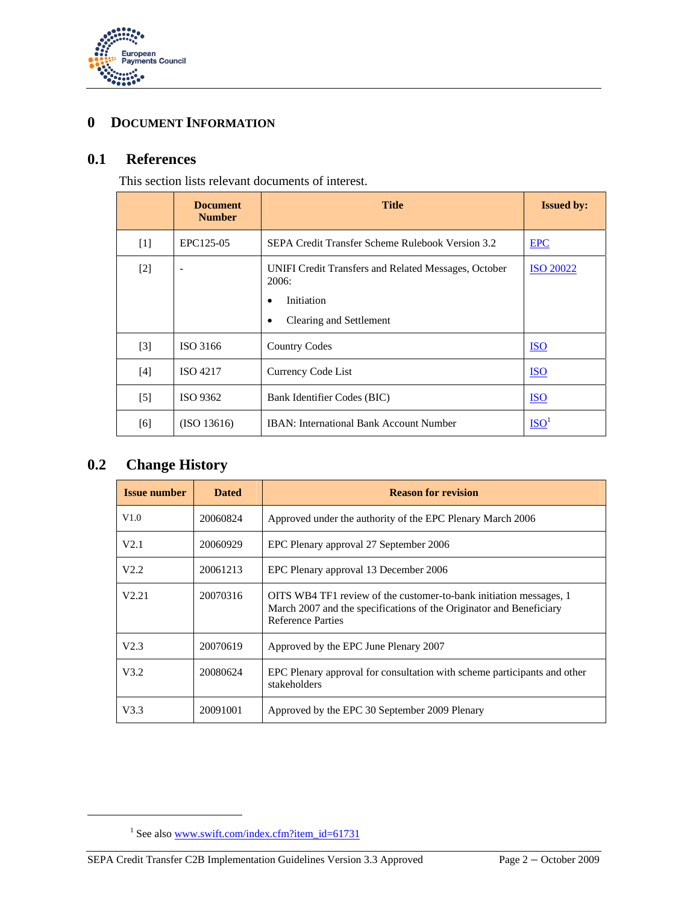

# **0 DOCUMENT INFORMATION**

# **0.1 References**

This section lists relevant documents of interest.

|                   | <b>Document</b><br><b>Number</b> | <b>Title</b>                                                                                                | <b>Issued by:</b> |
|-------------------|----------------------------------|-------------------------------------------------------------------------------------------------------------|-------------------|
| $[1]$             | EPC125-05                        | SEPA Credit Transfer Scheme Rulebook Version 3.2                                                            | <b>EPC</b>        |
| $[2]$             |                                  | UNIFI Credit Transfers and Related Messages, October<br>2006:<br>Initiation<br>Clearing and Settlement<br>٠ | <b>ISO 20022</b>  |
| $[3]$             | ISO 3166                         | <b>Country Codes</b>                                                                                        | <b>ISO</b>        |
| [4]               | <b>ISO 4217</b>                  | Currency Code List                                                                                          | <b>ISO</b>        |
| $\lceil 5 \rceil$ | ISO 9362                         | Bank Identifier Codes (BIC)                                                                                 | <b>ISO</b>        |
| [6]               | (ISO 13616)                      | <b>IBAN:</b> International Bank Account Number                                                              | ISO <sup>1</sup>  |

# **0.2 Change History**

 $\overline{a}$ 

| <b>Issue number</b> | <b>Dated</b> | <b>Reason for revision</b>                                                                                                                                            |  |
|---------------------|--------------|-----------------------------------------------------------------------------------------------------------------------------------------------------------------------|--|
| V1.0                | 20060824     | Approved under the authority of the EPC Plenary March 2006                                                                                                            |  |
| V2.1                | 20060929     | EPC Plenary approval 27 September 2006                                                                                                                                |  |
| V2.2                | 20061213     | EPC Plenary approval 13 December 2006                                                                                                                                 |  |
| V2.21               | 20070316     | OITS WB4 TF1 review of the customer-to-bank initiation messages, 1<br>March 2007 and the specifications of the Originator and Beneficiary<br><b>Reference Parties</b> |  |
| V2.3                | 20070619     | Approved by the EPC June Plenary 2007                                                                                                                                 |  |
| V3.2                | 20080624     | EPC Plenary approval for consultation with scheme participants and other<br>stakeholders                                                                              |  |
| V3.3                | 20091001     | Approved by the EPC 30 September 2009 Plenary                                                                                                                         |  |

<sup>&</sup>lt;sup>1</sup> See also www.swift.com/index.cfm?item\_id=61731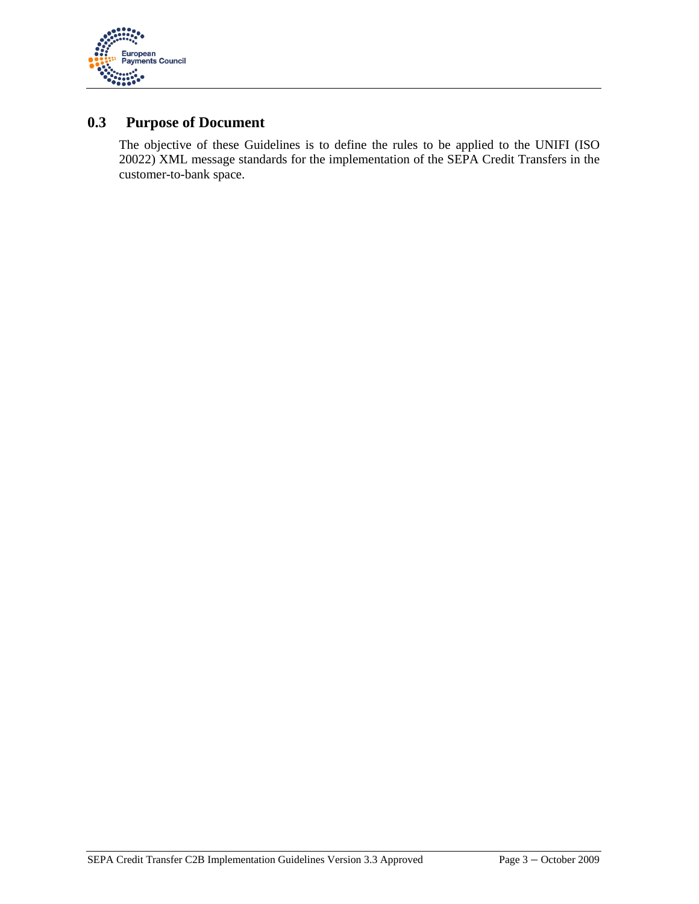

# **0.3 Purpose of Document**

The objective of these Guidelines is to define the rules to be applied to the UNIFI (ISO 20022) XML message standards for the implementation of the SEPA Credit Transfers in the customer-to-bank space.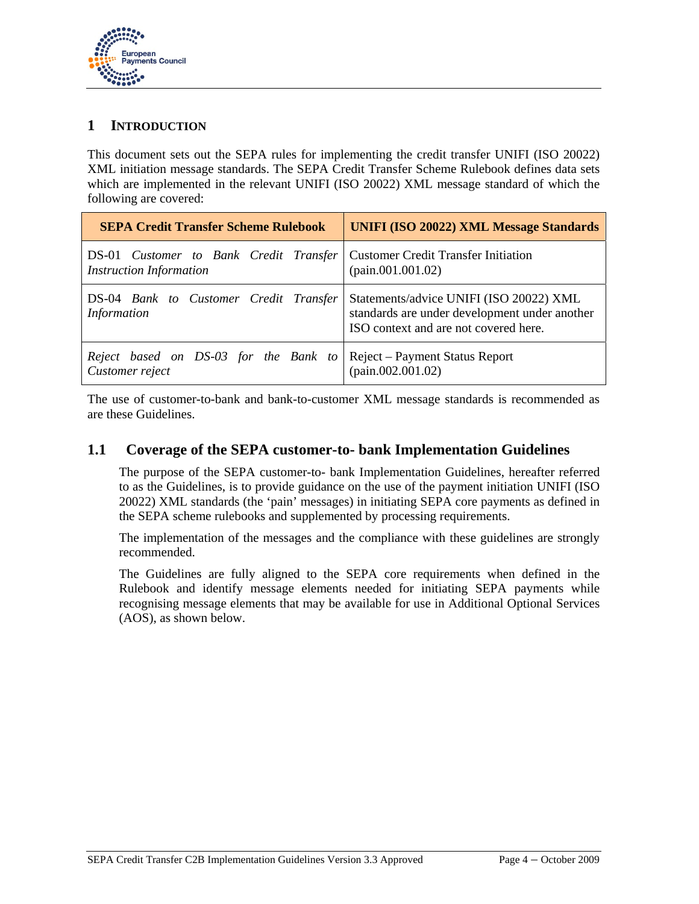

### **1 INTRODUCTION**

This document sets out the SEPA rules for implementing the credit transfer UNIFI (ISO 20022) XML initiation message standards. The SEPA Credit Transfer Scheme Rulebook defines data sets which are implemented in the relevant UNIFI (ISO 20022) XML message standard of which the following are covered:

| <b>SEPA Credit Transfer Scheme Rulebook</b>                                                                    | <b>UNIFI (ISO 20022) XML Message Standards</b>                                                                                    |
|----------------------------------------------------------------------------------------------------------------|-----------------------------------------------------------------------------------------------------------------------------------|
| DS-01 Customer to Bank Credit Transfer   Customer Credit Transfer Initiation<br><b>Instruction Information</b> | (pain.001.001.02)                                                                                                                 |
| DS-04 Bank to Customer Credit Transfer<br><b>Information</b>                                                   | Statements/advice UNIFI (ISO 20022) XML<br>standards are under development under another<br>ISO context and are not covered here. |
| Reject based on DS-03 for the Bank to   Reject – Payment Status Report<br>Customer reject                      | (pain.002.001.02)                                                                                                                 |

The use of customer-to-bank and bank-to-customer XML message standards is recommended as are these Guidelines.

### **1.1 Coverage of the SEPA customer-to- bank Implementation Guidelines**

The purpose of the SEPA customer-to- bank Implementation Guidelines, hereafter referred to as the Guidelines, is to provide guidance on the use of the payment initiation UNIFI (ISO 20022) XML standards (the 'pain' messages) in initiating SEPA core payments as defined in the SEPA scheme rulebooks and supplemented by processing requirements.

The implementation of the messages and the compliance with these guidelines are strongly recommended.

The Guidelines are fully aligned to the SEPA core requirements when defined in the Rulebook and identify message elements needed for initiating SEPA payments while recognising message elements that may be available for use in Additional Optional Services (AOS), as shown below.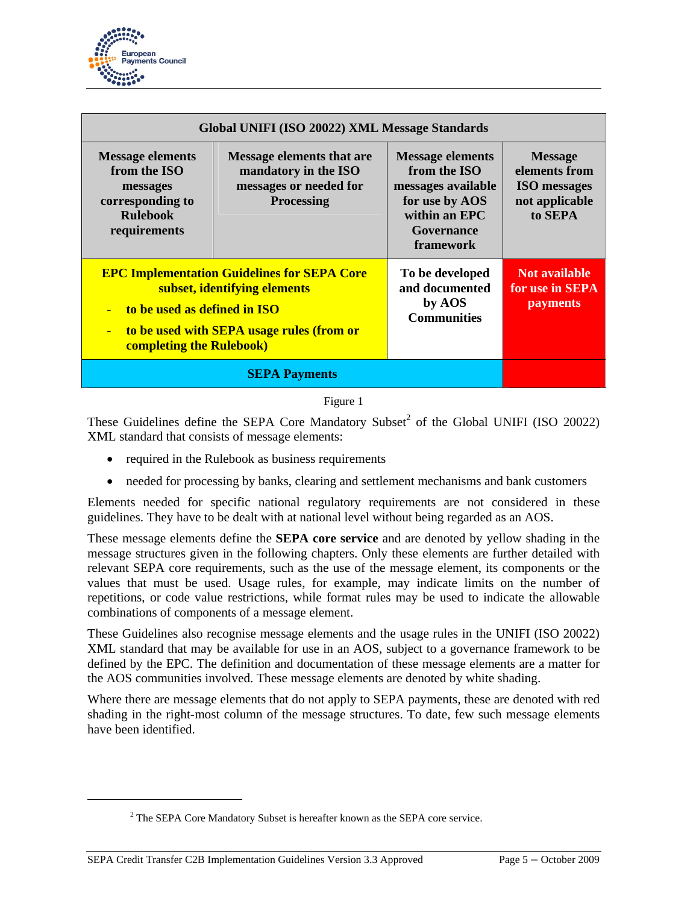

| Global UNIFI (ISO 20022) XML Message Standards                                                             |                                                                                                                                 |                                                                                                                             |                                                                                     |
|------------------------------------------------------------------------------------------------------------|---------------------------------------------------------------------------------------------------------------------------------|-----------------------------------------------------------------------------------------------------------------------------|-------------------------------------------------------------------------------------|
| <b>Message elements</b><br>from the ISO<br>messages<br>corresponding to<br><b>Rulebook</b><br>requirements | <b>Message elements that are</b><br>mandatory in the ISO<br>messages or needed for<br><b>Processing</b>                         | <b>Message elements</b><br>from the ISO<br>messages available<br>for use by AOS<br>within an EPC<br>Governance<br>framework | <b>Message</b><br>elements from<br><b>ISO</b> messages<br>not applicable<br>to SEPA |
| to be used as defined in ISO<br>$\equiv$<br><b>completing the Rulebook)</b>                                | <b>EPC Implementation Guidelines for SEPA Core</b><br>subset, identifying elements<br>to be used with SEPA usage rules (from or | To be developed<br>and documented<br>by AOS<br><b>Communities</b>                                                           | <b>Not available</b><br>for use in SEPA<br><b>payments</b>                          |
| <b>SEPA Payments</b>                                                                                       |                                                                                                                                 |                                                                                                                             |                                                                                     |

Figure 1

These Guidelines define the SEPA Core Mandatory Subset<sup>2</sup> of the Global UNIFI (ISO 20022) XML standard that consists of message elements:

- required in the Rulebook as business requirements
- needed for processing by banks, clearing and settlement mechanisms and bank customers

Elements needed for specific national regulatory requirements are not considered in these guidelines. They have to be dealt with at national level without being regarded as an AOS.

These message elements define the **SEPA core service** and are denoted by yellow shading in the message structures given in the following chapters. Only these elements are further detailed with relevant SEPA core requirements, such as the use of the message element, its components or the values that must be used. Usage rules, for example, may indicate limits on the number of repetitions, or code value restrictions, while format rules may be used to indicate the allowable combinations of components of a message element.

These Guidelines also recognise message elements and the usage rules in the UNIFI (ISO 20022) XML standard that may be available for use in an AOS, subject to a governance framework to be defined by the EPC. The definition and documentation of these message elements are a matter for the AOS communities involved. These message elements are denoted by white shading.

Where there are message elements that do not apply to SEPA payments, these are denoted with red shading in the right-most column of the message structures. To date, few such message elements have been identified.

 $\overline{a}$ 

 $2^2$  The SEPA Core Mandatory Subset is hereafter known as the SEPA core service.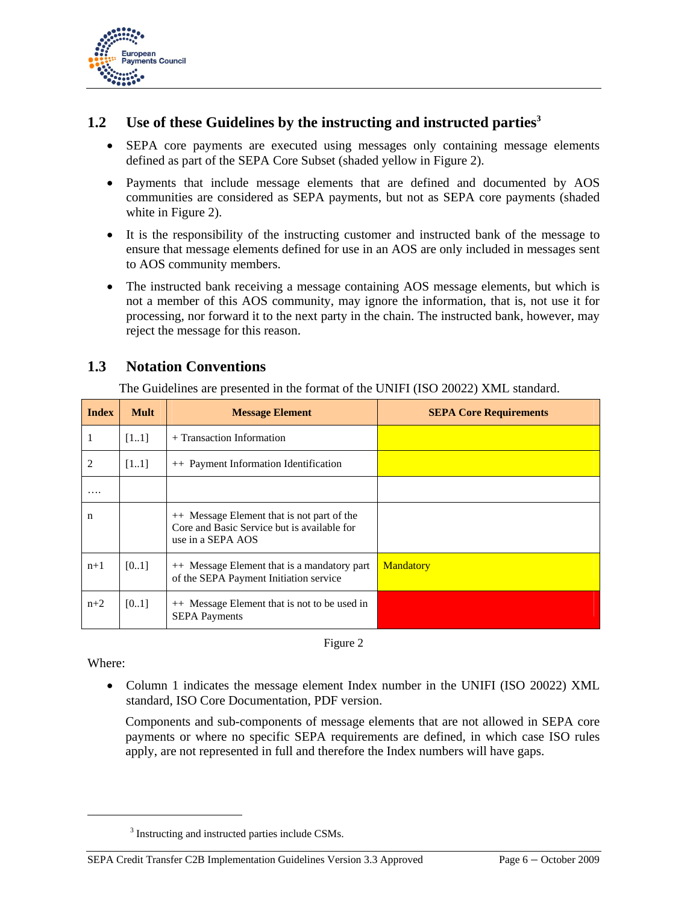

# **1.2 Use of these Guidelines by the instructing and instructed parties**<sup>3</sup>

- SEPA core payments are executed using messages only containing message elements defined as part of the SEPA Core Subset (shaded yellow in Figure 2).
- Payments that include message elements that are defined and documented by AOS communities are considered as SEPA payments, but not as SEPA core payments (shaded white in Figure 2).
- It is the responsibility of the instructing customer and instructed bank of the message to ensure that message elements defined for use in an AOS are only included in messages sent to AOS community members.
- The instructed bank receiving a message containing AOS message elements, but which is not a member of this AOS community, may ignore the information, that is, not use it for processing, nor forward it to the next party in the chain. The instructed bank, however, may reject the message for this reason.

# **1.3 Notation Conventions**

The Guidelines are presented in the format of the UNIFI (ISO 20022) XML standard.

| <b>Index</b> | <b>Mult</b> | <b>Message Element</b>                                                                                         | <b>SEPA Core Requirements</b> |
|--------------|-------------|----------------------------------------------------------------------------------------------------------------|-------------------------------|
| 1            | [11]        | $+$ Transaction Information                                                                                    |                               |
| 2            | [11]        | ++ Payment Information Identification                                                                          |                               |
| $\cdots$     |             |                                                                                                                |                               |
| n            |             | ++ Message Element that is not part of the<br>Core and Basic Service but is available for<br>use in a SEPA AOS |                               |
| $n+1$        | [0.1]       | ++ Message Element that is a mandatory part<br>of the SEPA Payment Initiation service                          | <b>Mandatory</b>              |
| $n+2$        | [0.1]       | ++ Message Element that is not to be used in<br><b>SEPA Payments</b>                                           |                               |

Figure 2

Where:

 $\overline{a}$ 

• Column 1 indicates the message element Index number in the UNIFI (ISO 20022) XML standard, ISO Core Documentation, PDF version.

Components and sub-components of message elements that are not allowed in SEPA core payments or where no specific SEPA requirements are defined, in which case ISO rules apply, are not represented in full and therefore the Index numbers will have gaps.

<sup>&</sup>lt;sup>3</sup> Instructing and instructed parties include CSMs.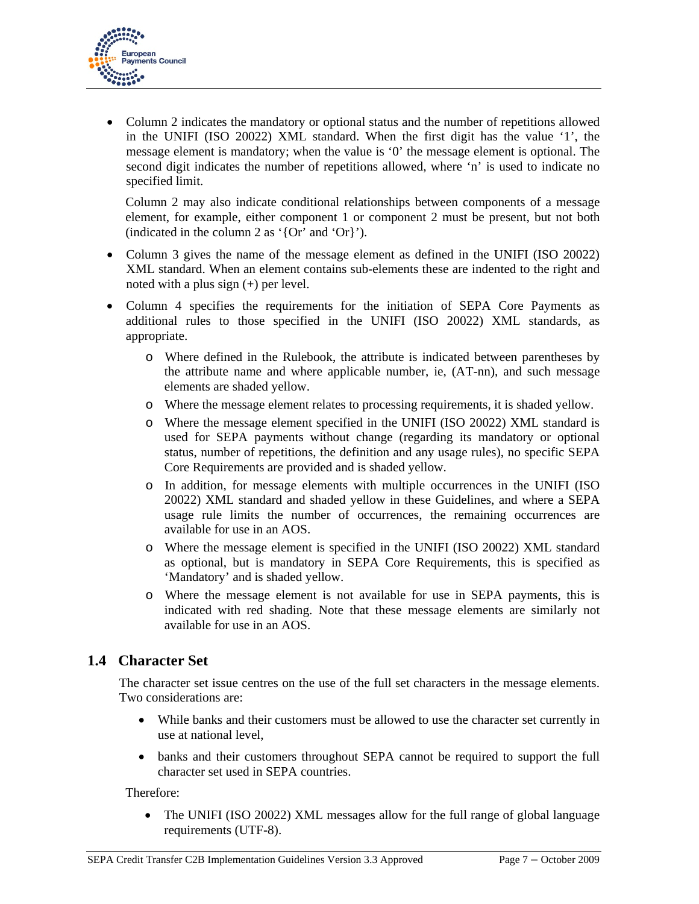

• Column 2 indicates the mandatory or optional status and the number of repetitions allowed in the UNIFI (ISO 20022) XML standard. When the first digit has the value '1', the message element is mandatory; when the value is '0' the message element is optional. The second digit indicates the number of repetitions allowed, where 'n' is used to indicate no specified limit.

Column 2 may also indicate conditional relationships between components of a message element, for example, either component 1 or component 2 must be present, but not both (indicated in the column 2 as '{Or' and 'Or}').

- Column 3 gives the name of the message element as defined in the UNIFI (ISO 20022) XML standard. When an element contains sub-elements these are indented to the right and noted with a plus sign (+) per level.
- Column 4 specifies the requirements for the initiation of SEPA Core Payments as additional rules to those specified in the UNIFI (ISO 20022) XML standards, as appropriate.
	- o Where defined in the Rulebook, the attribute is indicated between parentheses by the attribute name and where applicable number, ie, (AT-nn), and such message elements are shaded yellow.
	- o Where the message element relates to processing requirements, it is shaded yellow.
	- o Where the message element specified in the UNIFI (ISO 20022) XML standard is used for SEPA payments without change (regarding its mandatory or optional status, number of repetitions, the definition and any usage rules), no specific SEPA Core Requirements are provided and is shaded yellow.
	- o In addition, for message elements with multiple occurrences in the UNIFI (ISO 20022) XML standard and shaded yellow in these Guidelines, and where a SEPA usage rule limits the number of occurrences, the remaining occurrences are available for use in an AOS.
	- o Where the message element is specified in the UNIFI (ISO 20022) XML standard as optional, but is mandatory in SEPA Core Requirements, this is specified as 'Mandatory' and is shaded yellow.
	- o Where the message element is not available for use in SEPA payments, this is indicated with red shading. Note that these message elements are similarly not available for use in an AOS.

# **1.4 Character Set**

The character set issue centres on the use of the full set characters in the message elements. Two considerations are:

- While banks and their customers must be allowed to use the character set currently in use at national level,
- banks and their customers throughout SEPA cannot be required to support the full character set used in SEPA countries.

Therefore:

• The UNIFI (ISO 20022) XML messages allow for the full range of global language requirements (UTF-8).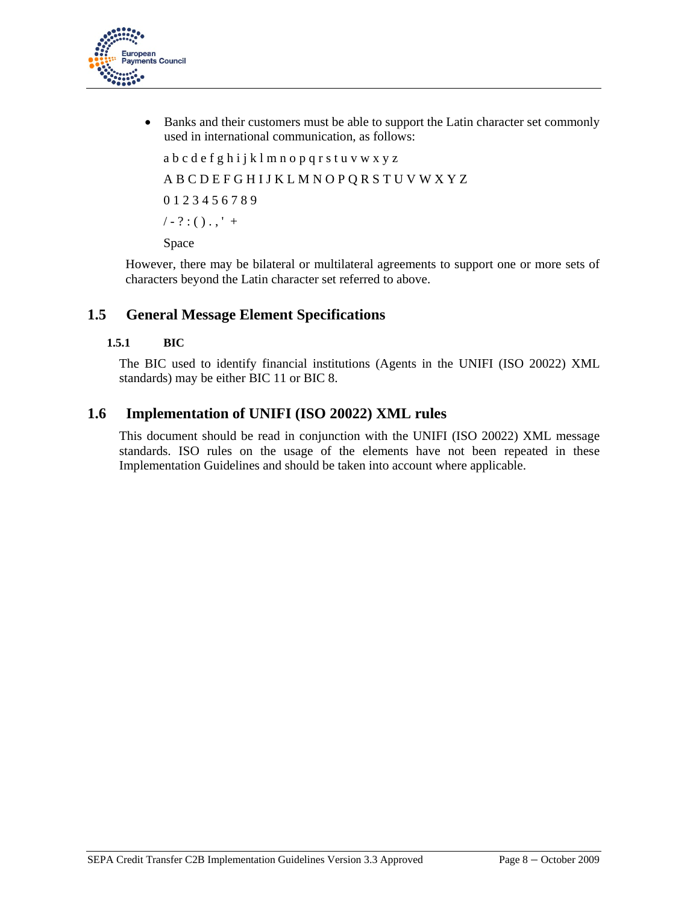

• Banks and their customers must be able to support the Latin character set commonly used in international communication, as follows:

```
a b c d e f g h i j k l m n o p q r s t u v w x y z 
A B C D E F G H I J K L M N O P Q R S T U V W X Y Z 
0 1 2 3 4 5 6 7 8 9 
/ - ? : () . ,' +
```
Space

However, there may be bilateral or multilateral agreements to support one or more sets of characters beyond the Latin character set referred to above.

# **1.5 General Message Element Specifications**

#### **1.5.1 BIC**

The BIC used to identify financial institutions (Agents in the UNIFI (ISO 20022) XML standards) may be either BIC 11 or BIC 8.

### **1.6 Implementation of UNIFI (ISO 20022) XML rules**

This document should be read in conjunction with the UNIFI (ISO 20022) XML message standards. ISO rules on the usage of the elements have not been repeated in these Implementation Guidelines and should be taken into account where applicable.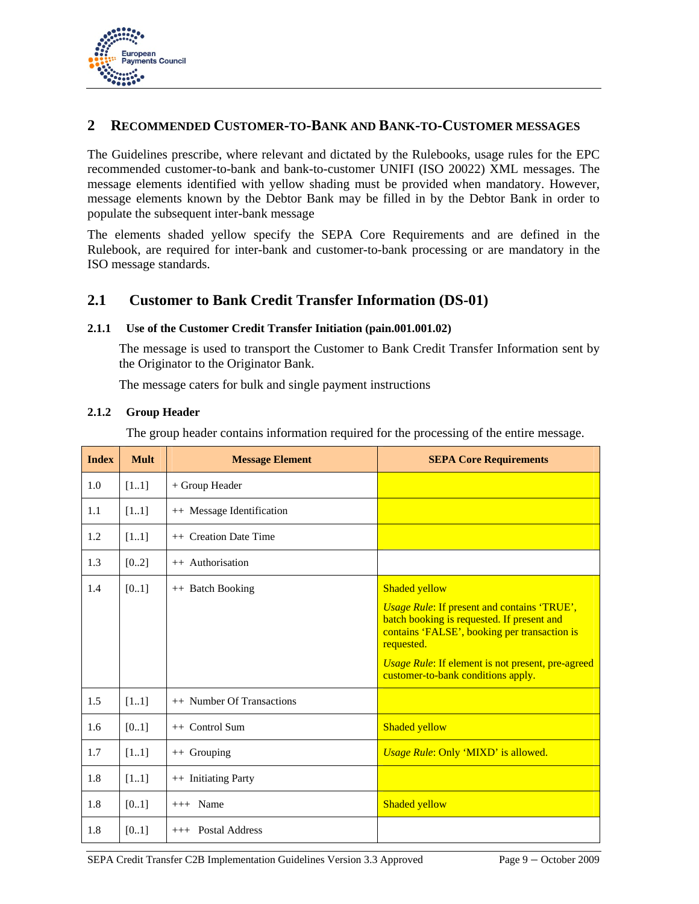

### **2 RECOMMENDED CUSTOMER-TO-BANK AND BANK-TO-CUSTOMER MESSAGES**

The Guidelines prescribe, where relevant and dictated by the Rulebooks, usage rules for the EPC recommended customer-to-bank and bank-to-customer UNIFI (ISO 20022) XML messages. The message elements identified with yellow shading must be provided when mandatory. However, message elements known by the Debtor Bank may be filled in by the Debtor Bank in order to populate the subsequent inter-bank message

The elements shaded yellow specify the SEPA Core Requirements and are defined in the Rulebook, are required for inter-bank and customer-to-bank processing or are mandatory in the ISO message standards.

### **2.1 Customer to Bank Credit Transfer Information (DS-01)**

#### **2.1.1 Use of the Customer Credit Transfer Initiation (pain.001.001.02)**

The message is used to transport the Customer to Bank Credit Transfer Information sent by the Originator to the Originator Bank.

The message caters for bulk and single payment instructions

#### **2.1.2 Group Header**

The group header contains information required for the processing of the entire message.

| <b>Index</b> | <b>Mult</b> | <b>Message Element</b>    | <b>SEPA Core Requirements</b>                                                                                                                                                                                                                                                     |
|--------------|-------------|---------------------------|-----------------------------------------------------------------------------------------------------------------------------------------------------------------------------------------------------------------------------------------------------------------------------------|
| 1.0          | [11]        | + Group Header            |                                                                                                                                                                                                                                                                                   |
| 1.1          | [11]        | ++ Message Identification |                                                                                                                                                                                                                                                                                   |
| 1.2          | [11]        | ++ Creation Date Time     |                                                                                                                                                                                                                                                                                   |
| 1.3          | [02]        | ++ Authorisation          |                                                                                                                                                                                                                                                                                   |
| 1.4          | [01]        | ++ Batch Booking          | <b>Shaded yellow</b><br><b>Usage Rule: If present and contains 'TRUE',</b><br>batch booking is requested. If present and<br>contains 'FALSE', booking per transaction is<br>requested.<br>Usage Rule: If element is not present, pre-agreed<br>customer-to-bank conditions apply. |
| 1.5          | $[11]$      | ++ Number Of Transactions |                                                                                                                                                                                                                                                                                   |
| 1.6          | [01]        | $++$ Control Sum          | <b>Shaded yellow</b>                                                                                                                                                                                                                                                              |
| 1.7          | [11]        | $++$ Grouping             | Usage Rule: Only 'MIXD' is allowed.                                                                                                                                                                                                                                               |
| 1.8          | [11]        | ++ Initiating Party       |                                                                                                                                                                                                                                                                                   |
| 1.8          | [01]        | $+++$ Name                | <b>Shaded yellow</b>                                                                                                                                                                                                                                                              |
| 1.8          | [01]        | $++$ Postal Address       |                                                                                                                                                                                                                                                                                   |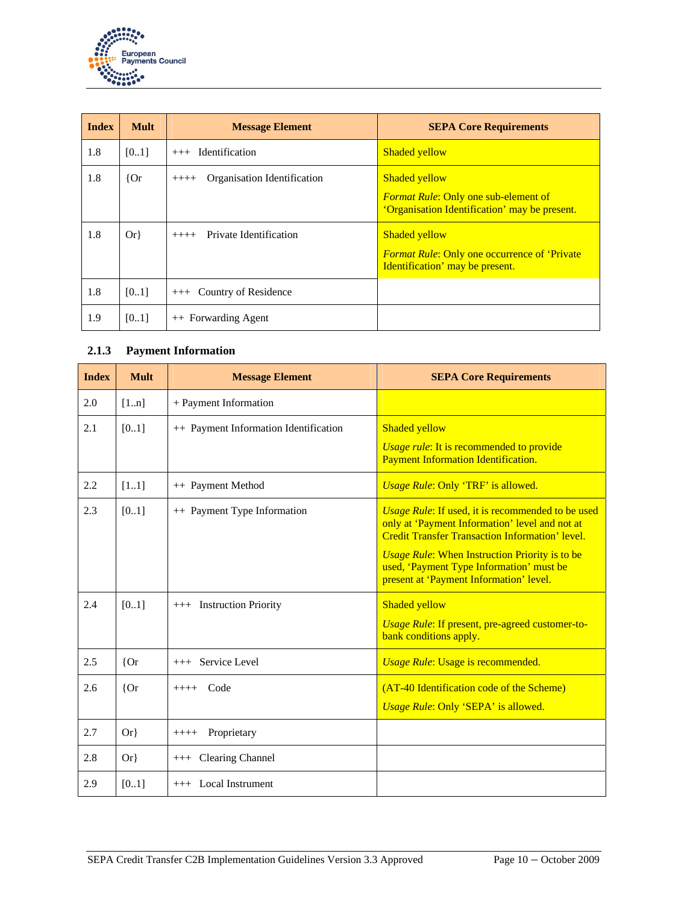

| <b>Index</b> | <b>Mult</b> | <b>Message Element</b>                 | <b>SEPA Core Requirements</b>                                                                                        |
|--------------|-------------|----------------------------------------|----------------------------------------------------------------------------------------------------------------------|
| 1.8          | [01]        | <b>Identification</b><br>$+++$         | <b>Shaded vellow</b>                                                                                                 |
| 1.8          | ${or}$      | Organisation Identification<br>$+++++$ | <b>Shaded yellow</b><br><b>Format Rule: Only one sub-element of</b><br>'Organisation Identification' may be present. |
| 1.8          | $Or\}$      | Private Identification<br>$++++-$      | <b>Shaded yellow</b><br><b>Format Rule: Only one occurrence of 'Private</b><br>Identification' may be present.       |
| 1.8          | [01]        | Country of Residence<br>$+++$          |                                                                                                                      |
| 1.9          | $[01]$      | ++ Forwarding Agent                    |                                                                                                                      |

### **2.1.3 Payment Information**

| <b>Index</b> | <b>Mult</b> | <b>Message Element</b>                | <b>SEPA Core Requirements</b>                                                                                                                                 |
|--------------|-------------|---------------------------------------|---------------------------------------------------------------------------------------------------------------------------------------------------------------|
| 2.0          | [1n]        | + Payment Information                 |                                                                                                                                                               |
| 2.1          | [0.1]       | ++ Payment Information Identification | <b>Shaded yellow</b><br>Usage rule: It is recommended to provide                                                                                              |
|              |             |                                       | Payment Information Identification.                                                                                                                           |
| 2.2          | [11]        | ++ Payment Method                     | Usage Rule: Only 'TRF' is allowed.                                                                                                                            |
| 2.3          | [0.1]       | ++ Payment Type Information           | Usage Rule: If used, it is recommended to be used<br>only at 'Payment Information' level and not at<br><b>Credit Transfer Transaction Information' level.</b> |
|              |             |                                       | <i><b>Usage Rule: When Instruction Priority is to be</b></i><br>used, 'Payment Type Information' must be<br>present at 'Payment Information' level.           |
| 2.4          | [0.1]       | +++ Instruction Priority              | <b>Shaded yellow</b>                                                                                                                                          |
|              |             |                                       | <b>Usage Rule: If present, pre-agreed customer-to-</b><br>bank conditions apply.                                                                              |
| 2.5          | ${or}$      | Service Level<br>$+++$                | Usage Rule: Usage is recommended.                                                                                                                             |
| 2.6          | ${or}$      | $++++$ Code                           | (AT-40 Identification code of the Scheme)                                                                                                                     |
|              |             |                                       | Usage Rule: Only 'SEPA' is allowed.                                                                                                                           |
| 2.7          | $Or\}$      | Proprietary<br>$++++-$                |                                                                                                                                                               |
| 2.8          | $Or\}$      | +++ Clearing Channel                  |                                                                                                                                                               |
| 2.9          | [0.1]       | $++$ Local Instrument                 |                                                                                                                                                               |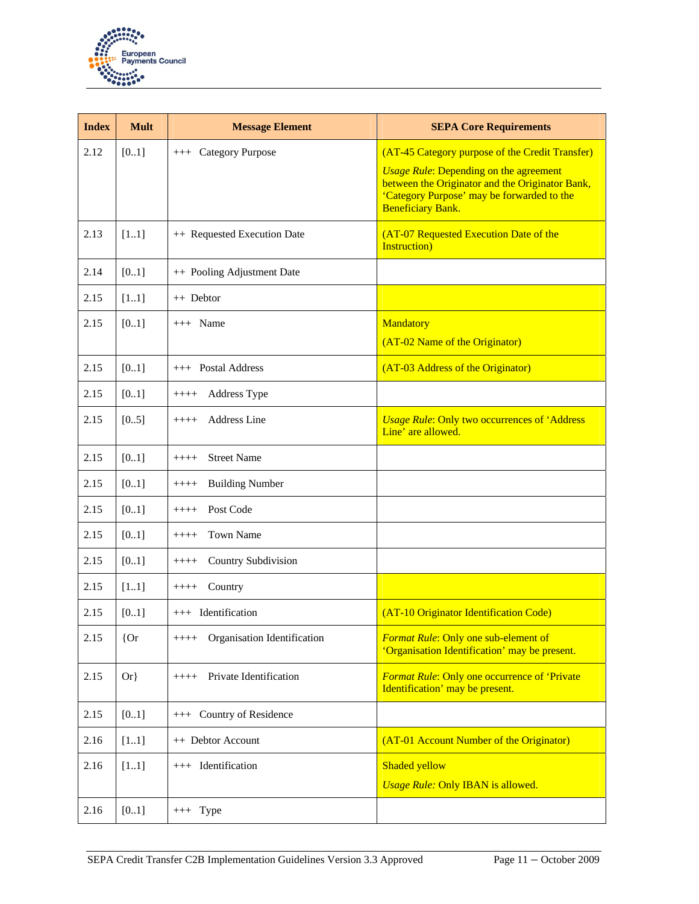

| <b>Index</b> | <b>Mult</b> | <b>Message Element</b>                | <b>SEPA Core Requirements</b>                                                                                                                                                                                                        |
|--------------|-------------|---------------------------------------|--------------------------------------------------------------------------------------------------------------------------------------------------------------------------------------------------------------------------------------|
| 2.12         | [01]        | +++ Category Purpose                  | (AT-45 Category purpose of the Credit Transfer)<br><b><i>Usage Rule:</i></b> Depending on the agreement<br>between the Originator and the Originator Bank,<br>'Category Purpose' may be forwarded to the<br><b>Beneficiary Bank.</b> |
| 2.13         | [11]        | ++ Requested Execution Date           | (AT-07 Requested Execution Date of the<br><b>Instruction</b> )                                                                                                                                                                       |
| 2.14         | [01]        | ++ Pooling Adjustment Date            |                                                                                                                                                                                                                                      |
| 2.15         | $[11]$      | ++ Debtor                             |                                                                                                                                                                                                                                      |
| 2.15         | $[01]$      | $+++$ Name                            | Mandatory<br>(AT-02 Name of the Originator)                                                                                                                                                                                          |
| 2.15         | [01]        | +++ Postal Address                    | (AT-03 Address of the Originator)                                                                                                                                                                                                    |
| 2.15         | [01]        | Address Type<br>$++++$                |                                                                                                                                                                                                                                      |
| 2.15         | [0.5]       | <b>Address Line</b><br>$++++$         | <b>Usage Rule: Only two occurrences of 'Address'</b><br>Line' are allowed.                                                                                                                                                           |
| 2.15         | [01]        | <b>Street Name</b><br>$++++$          |                                                                                                                                                                                                                                      |
| 2.15         | [01]        | <b>Building Number</b><br>$++++$      |                                                                                                                                                                                                                                      |
| 2.15         | [01]        | Post Code<br>$++++$                   |                                                                                                                                                                                                                                      |
| 2.15         | [01]        | <b>Town Name</b><br>$++++$            |                                                                                                                                                                                                                                      |
| 2.15         | [01]        | Country Subdivision<br>$++++$         |                                                                                                                                                                                                                                      |
| 2.15         | [11]        | Country<br>$++++$                     |                                                                                                                                                                                                                                      |
| 2.15         | [0.1]       | +++ Identification                    | (AT-10 Originator Identification Code)                                                                                                                                                                                               |
| 2.15         | ${or}$      | Organisation Identification<br>$++++$ | Format Rule: Only one sub-element of<br>'Organisation Identification' may be present.                                                                                                                                                |
| 2.15         | $Or\}$      | Private Identification<br>$++++-$     | <b>Format Rule: Only one occurrence of 'Private</b><br>Identification' may be present.                                                                                                                                               |
| 2.15         | [01]        | +++ Country of Residence              |                                                                                                                                                                                                                                      |
| 2.16         | [11]        | ++ Debtor Account                     | (AT-01 Account Number of the Originator)                                                                                                                                                                                             |
| 2.16         | $[11]$      | +++ Identification                    | Shaded yellow                                                                                                                                                                                                                        |
|              |             |                                       | <b>Usage Rule: Only IBAN is allowed.</b>                                                                                                                                                                                             |
| 2.16         | $[01]$      | $+++$ Type                            |                                                                                                                                                                                                                                      |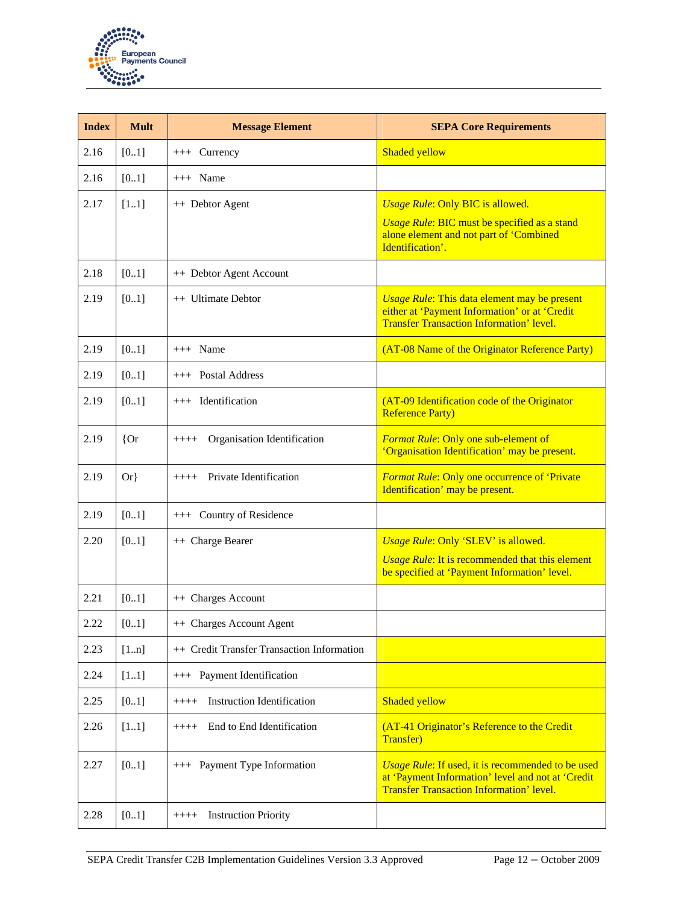

| <b>Index</b> | <b>Mult</b> | <b>Message Element</b>                       | <b>SEPA Core Requirements</b>                                                                                                                                 |
|--------------|-------------|----------------------------------------------|---------------------------------------------------------------------------------------------------------------------------------------------------------------|
| 2.16         | [0.1]       | $++$ Currency                                | Shaded yellow                                                                                                                                                 |
| 2.16         | [0.1]       | $+++$ Name                                   |                                                                                                                                                               |
| 2.17         | [11]        | ++ Debtor Agent                              | <b>Usage Rule: Only BIC is allowed.</b><br><b>Usage Rule: BIC must be specified as a stand</b><br>alone element and not part of 'Combined<br>Identification'. |
| 2.18         | [0.1]       | ++ Debtor Agent Account                      |                                                                                                                                                               |
| 2.19         | [0.1]       | ++ Ultimate Debtor                           | <b>Usage Rule: This data element may be present</b><br>either at 'Payment Information' or at 'Credit<br><b>Transfer Transaction Information' level.</b>       |
| 2.19         | [0.1]       | $+++$ Name                                   | (AT-08 Name of the Originator Reference Party)                                                                                                                |
| 2.19         | [0.1]       | $++$ Postal Address                          |                                                                                                                                                               |
| 2.19         | [0.1]       | +++ Identification                           | (AT-09 Identification code of the Originator<br><b>Reference Party)</b>                                                                                       |
| 2.19         | ${or}$      | Organisation Identification<br>$++++$        | Format Rule: Only one sub-element of<br>'Organisation Identification' may be present.                                                                         |
| 2.19         | $Or\}$      | Private Identification<br>$++++$             | <b>Format Rule: Only one occurrence of 'Private</b><br>Identification' may be present.                                                                        |
| 2.19         | [0.1]       | +++ Country of Residence                     |                                                                                                                                                               |
| 2.20         | [01]        | ++ Charge Bearer                             | Usage Rule: Only 'SLEV' is allowed.<br><b><i>Usage Rule:</i></b> It is recommended that this element<br>be specified at 'Payment Information' level.          |
| 2.21         | [01]        | ++ Charges Account                           |                                                                                                                                                               |
| 2.22         | [01]        | ++ Charges Account Agent                     |                                                                                                                                                               |
| 2.23         | [1n]        | ++ Credit Transfer Transaction Information   |                                                                                                                                                               |
| 2.24         | [11]        | +++ Payment Identification                   |                                                                                                                                                               |
| 2.25         | [0.1]       | <b>Instruction Identification</b><br>$++++-$ | Shaded yellow                                                                                                                                                 |
| 2.26         | [11]        | End to End Identification<br>$++++$          | (AT-41 Originator's Reference to the Credit<br><b>Transfer</b> )                                                                                              |
| 2.27         | [0.1]       | +++ Payment Type Information                 | Usage Rule: If used, it is recommended to be used<br>at 'Payment Information' level and not at 'Credit<br><b>Transfer Transaction Information' level.</b>     |
| 2.28         | [0.1]       | <b>Instruction Priority</b><br>$++++-$       |                                                                                                                                                               |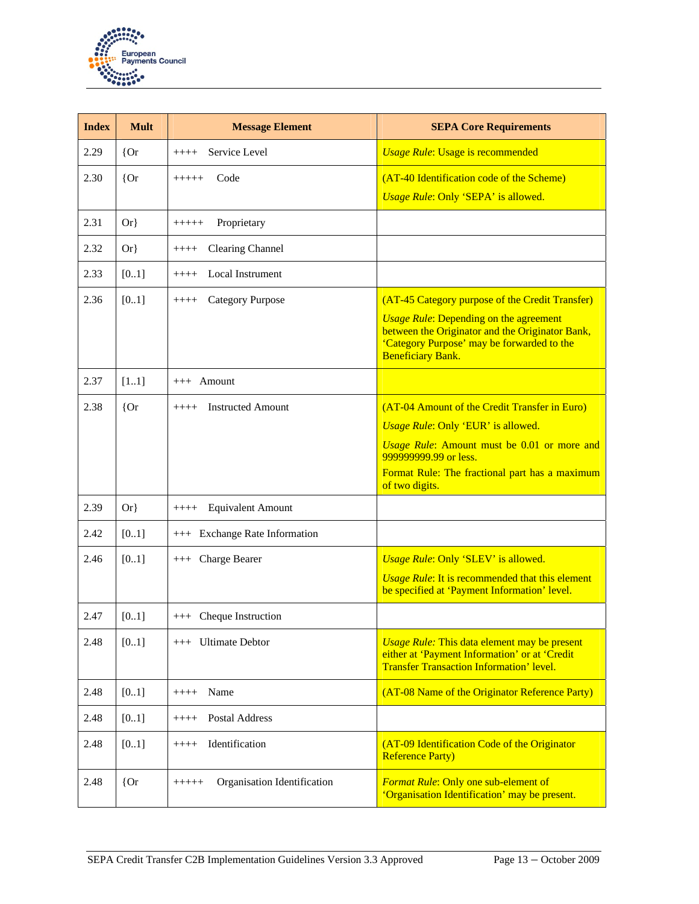

| <b>Index</b> | <b>Mult</b> | <b>Message Element</b>                 | <b>SEPA Core Requirements</b>                                                                                                                                                     |
|--------------|-------------|----------------------------------------|-----------------------------------------------------------------------------------------------------------------------------------------------------------------------------------|
| 2.29         | ${or}$      | Service Level<br>$++++-$               | <b>Usage Rule: Usage is recommended</b>                                                                                                                                           |
| 2.30         | ${or}$      | Code<br>$+++++$                        | (AT-40 Identification code of the Scheme)                                                                                                                                         |
|              |             |                                        | Usage Rule: Only 'SEPA' is allowed.                                                                                                                                               |
| 2.31         | $Or\}$      | Proprietary<br>$+++++$                 |                                                                                                                                                                                   |
| 2.32         | $Or\}$      | <b>Clearing Channel</b><br>$+++++$     |                                                                                                                                                                                   |
| 2.33         | [0.1]       | Local Instrument<br>$++++-$            |                                                                                                                                                                                   |
| 2.36         | [0.1]       | <b>Category Purpose</b><br>$++++-$     | (AT-45 Category purpose of the Credit Transfer)                                                                                                                                   |
|              |             |                                        | <b><i>Usage Rule:</i></b> Depending on the agreement<br>between the Originator and the Originator Bank,<br>'Category Purpose' may be forwarded to the<br><b>Beneficiary Bank.</b> |
| 2.37         | [11]        | $+++$ Amount                           |                                                                                                                                                                                   |
| 2.38         | ${or}$      | <b>Instructed Amount</b><br>$++++-$    | (AT-04 Amount of the Credit Transfer in Euro)                                                                                                                                     |
|              |             |                                        | Usage Rule: Only 'EUR' is allowed.                                                                                                                                                |
|              |             |                                        | Usage Rule: Amount must be 0.01 or more and<br>999999999.99 or less.                                                                                                              |
|              |             |                                        | Format Rule: The fractional part has a maximum<br>of two digits.                                                                                                                  |
| 2.39         | $Or\}$      | <b>Equivalent Amount</b><br>$++++-$    |                                                                                                                                                                                   |
| 2.42         | [0.1]       | +++ Exchange Rate Information          |                                                                                                                                                                                   |
| 2.46         | [0.1]       | +++ Charge Bearer                      | Usage Rule: Only 'SLEV' is allowed.                                                                                                                                               |
|              |             |                                        | <b><i>Usage Rule:</i></b> It is recommended that this element<br>be specified at 'Payment Information' level.                                                                     |
| 2.47         | [0.1]       | +++ Cheque Instruction                 |                                                                                                                                                                                   |
| 2.48         | [0.1]       | <b>Ultimate Debtor</b><br>$+++$        | <b><i>Usage Rule:</i></b> This data element may be present<br>either at 'Payment Information' or at 'Credit<br><b>Transfer Transaction Information' level.</b>                    |
| 2.48         | [01]        | Name<br>$++++-$                        | (AT-08 Name of the Originator Reference Party)                                                                                                                                    |
| 2.48         | [01]        | Postal Address<br>$++++$               |                                                                                                                                                                                   |
| 2.48         | [01]        | Identification<br>$++++$               | (AT-09 Identification Code of the Originator<br><b>Reference Party)</b>                                                                                                           |
| 2.48         | ${or}$      | Organisation Identification<br>$+++++$ | <b>Format Rule: Only one sub-element of</b><br>'Organisation Identification' may be present.                                                                                      |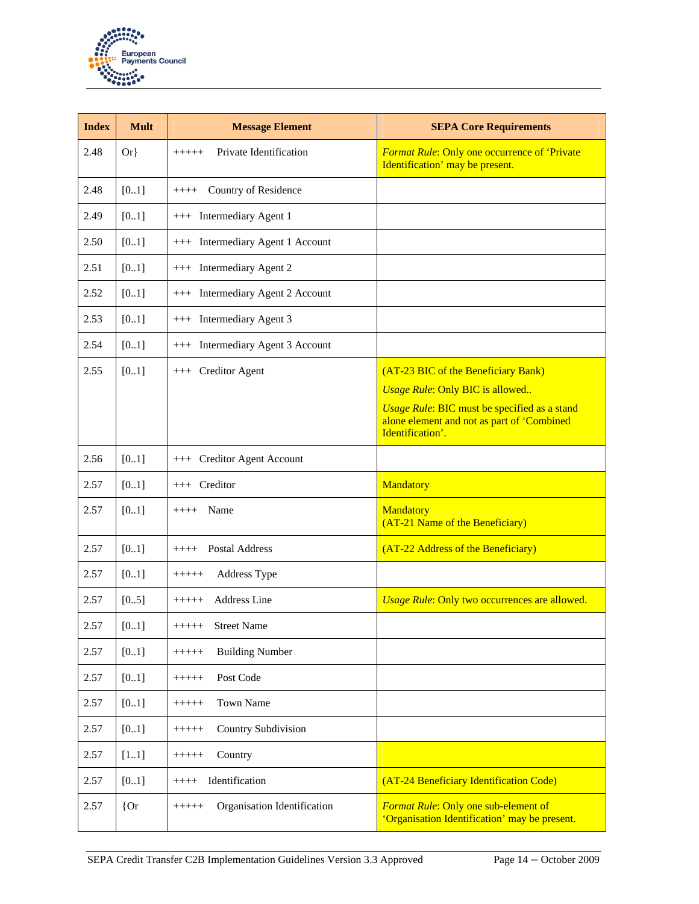

| <b>Index</b> | <b>Mult</b> | <b>Message Element</b>                 | <b>SEPA Core Requirements</b>                                                                                  |
|--------------|-------------|----------------------------------------|----------------------------------------------------------------------------------------------------------------|
| 2.48         | $Or\}$      | Private Identification<br>+++++        | <b>Format Rule: Only one occurrence of 'Private</b><br>Identification' may be present.                         |
| 2.48         | [01]        | Country of Residence<br>$++++$         |                                                                                                                |
| 2.49         | [01]        | +++ Intermediary Agent 1               |                                                                                                                |
| 2.50         | $[01]$      | +++ Intermediary Agent 1 Account       |                                                                                                                |
| 2.51         | [01]        | +++ Intermediary Agent 2               |                                                                                                                |
| 2.52         | [01]        | +++ Intermediary Agent 2 Account       |                                                                                                                |
| 2.53         | [01]        | +++ Intermediary Agent 3               |                                                                                                                |
| 2.54         | [01]        | +++ Intermediary Agent 3 Account       |                                                                                                                |
| 2.55         | [0.1]       | +++ Creditor Agent                     | (AT-23 BIC of the Beneficiary Bank)<br><b>Usage Rule: Only BIC is allowed</b>                                  |
|              |             |                                        | Usage Rule: BIC must be specified as a stand<br>alone element and not as part of 'Combined<br>Identification'. |
| 2.56         | [0.1]       | +++ Creditor Agent Account             |                                                                                                                |
| 2.57         | [01]        | +++ Creditor                           | <b>Mandatory</b>                                                                                               |
| 2.57         | [01]        | Name<br>$++++-$                        | <b>Mandatory</b><br>(AT-21 Name of the Beneficiary)                                                            |
| 2.57         | [01]        | Postal Address<br>$++++-$              | (AT-22 Address of the Beneficiary)                                                                             |
| 2.57         | [0.1]       | Address Type<br>$+++++$                |                                                                                                                |
| 2.57         | [0.5]       | <b>Address Line</b><br>$+++++$         | Usage Rule: Only two occurrences are allowed.                                                                  |
| 2.57         | [01]        | <b>Street Name</b><br>$+++++$          |                                                                                                                |
| 2.57         | [01]        | <b>Building Number</b><br>$+++++$      |                                                                                                                |
| 2.57         | [0.1]       | Post Code<br>$+++++$                   |                                                                                                                |
| 2.57         | [0.1]       | <b>Town Name</b><br>$+++++$            |                                                                                                                |
| 2.57         | [0.1]       | Country Subdivision<br>$+++++$         |                                                                                                                |
| 2.57         | [11]        | Country<br>$+++++$                     |                                                                                                                |
| 2.57         | [01]        | Identification<br>$++++-$              | (AT-24 Beneficiary Identification Code)                                                                        |
| 2.57         | ${or}$      | Organisation Identification<br>$+++++$ | Format Rule: Only one sub-element of<br>'Organisation Identification' may be present.                          |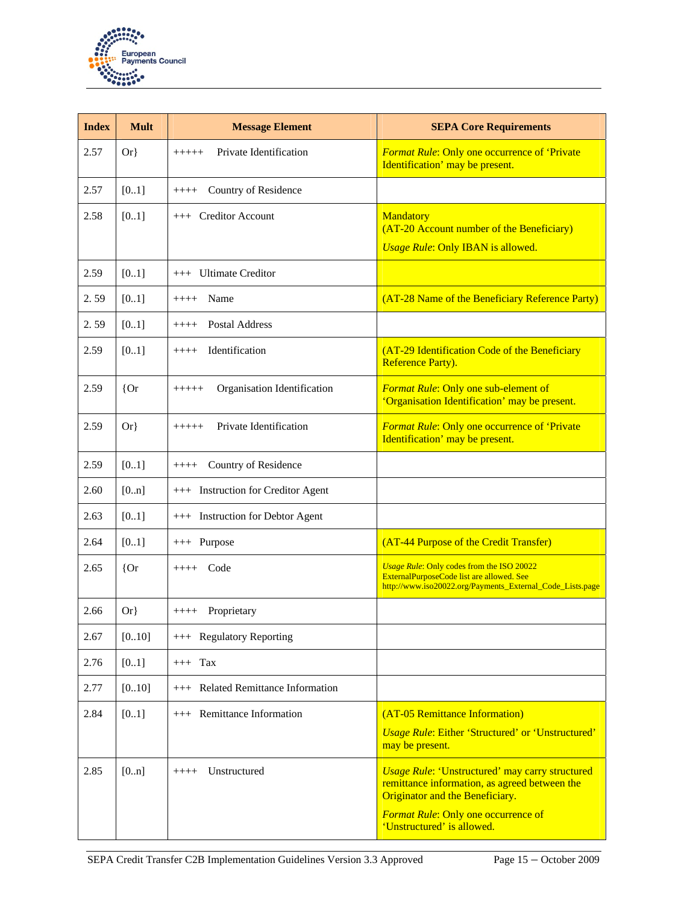

| <b>Index</b> | <b>Mult</b> | <b>Message Element</b>                 | <b>SEPA Core Requirements</b>                                                                                                                                                                                          |
|--------------|-------------|----------------------------------------|------------------------------------------------------------------------------------------------------------------------------------------------------------------------------------------------------------------------|
| 2.57         | $Or\}$      | Private Identification<br>$+++++$      | <b>Format Rule: Only one occurrence of 'Private</b><br>Identification' may be present.                                                                                                                                 |
| 2.57         | [0.1]       | Country of Residence<br>$++++-$        |                                                                                                                                                                                                                        |
| 2.58         | [01]        | +++ Creditor Account                   | <b>Mandatory</b><br>(AT-20 Account number of the Beneficiary)<br><b>Usage Rule: Only IBAN is allowed.</b>                                                                                                              |
| 2.59         | [0.1]       | +++ Ultimate Creditor                  |                                                                                                                                                                                                                        |
| 2.59         | [0.1]       | Name<br>$++++$                         | (AT-28 Name of the Beneficiary Reference Party)                                                                                                                                                                        |
| 2.59         | [0.1]       | <b>Postal Address</b><br>$+++++$       |                                                                                                                                                                                                                        |
| 2.59         | [0.1]       | Identification<br>$++++$               | (AT-29 Identification Code of the Beneficiary<br><b>Reference Party).</b>                                                                                                                                              |
| 2.59         | ${or}$      | Organisation Identification<br>$+++++$ | <b>Format Rule: Only one sub-element of</b><br>'Organisation Identification' may be present.                                                                                                                           |
| 2.59         | $Or\}$      | Private Identification<br>$+++++$      | <b>Format Rule: Only one occurrence of 'Private</b><br>Identification' may be present.                                                                                                                                 |
| 2.59         | [0.1]       | Country of Residence<br>$++++-$        |                                                                                                                                                                                                                        |
| 2.60         | [0n]        | +++ Instruction for Creditor Agent     |                                                                                                                                                                                                                        |
| 2.63         | [0.1]       | +++ Instruction for Debtor Agent       |                                                                                                                                                                                                                        |
| 2.64         | [0.1]       | +++ Purpose                            | (AT-44 Purpose of the Credit Transfer)                                                                                                                                                                                 |
| 2.65         | ${or}$      | $++++$ Code                            | Usage Rule: Only codes from the ISO 20022<br>ExternalPurposeCode list are allowed. See<br>http://www.iso20022.org/Payments_External_Code_Lists.page                                                                    |
| 2.66         | $Or\}$      | Proprietary<br>$++++-$                 |                                                                                                                                                                                                                        |
| 2.67         | [010]       | +++ Regulatory Reporting               |                                                                                                                                                                                                                        |
| 2.76         | [0.1]       | $+++$ Tax                              |                                                                                                                                                                                                                        |
| 2.77         | [010]       | +++ Related Remittance Information     |                                                                                                                                                                                                                        |
| 2.84         | $[01]$      | +++ Remittance Information             | (AT-05 Remittance Information)<br><b>Usage Rule: Either 'Structured' or 'Unstructured'</b><br>may be present.                                                                                                          |
| 2.85         | [0n]        | Unstructured<br>$++++-$                | <b>Usage Rule: 'Unstructured' may carry structured</b><br>remittance information, as agreed between the<br>Originator and the Beneficiary.<br><b>Format Rule: Only one occurrence of</b><br>'Unstructured' is allowed. |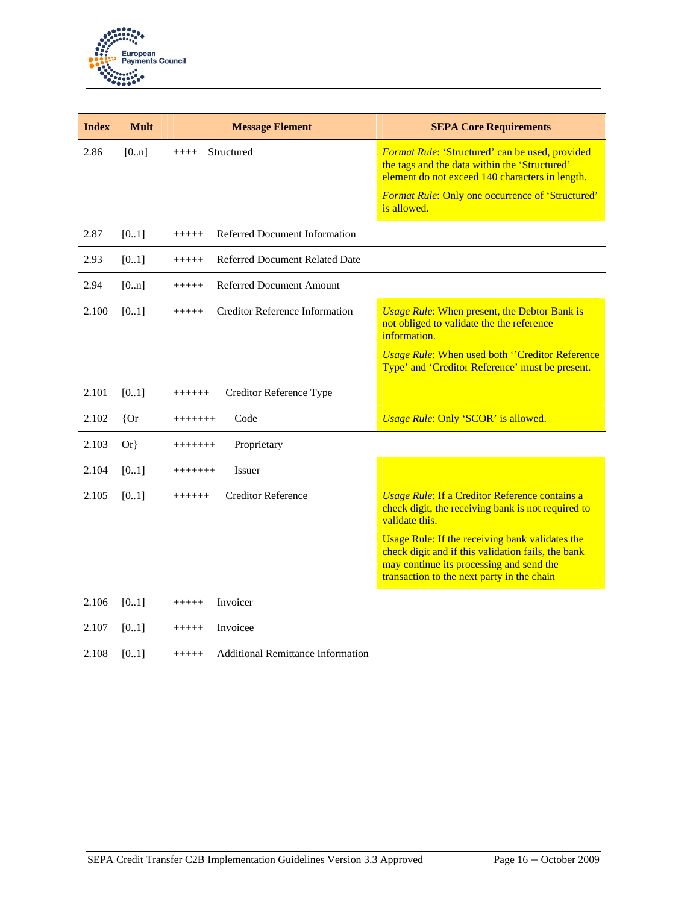

| <b>Index</b> | <b>Mult</b> | <b>Message Element</b>                            | <b>SEPA Core Requirements</b>                                                                                                                                                                   |
|--------------|-------------|---------------------------------------------------|-------------------------------------------------------------------------------------------------------------------------------------------------------------------------------------------------|
| 2.86         | [0n]        | Structured<br>$++++$                              | Format Rule: 'Structured' can be used, provided<br>the tags and the data within the 'Structured'<br>element do not exceed 140 characters in length.                                             |
|              |             |                                                   | Format Rule: Only one occurrence of 'Structured'<br>is allowed.                                                                                                                                 |
| 2.87         | [0.1]       | Referred Document Information<br>$+++++$          |                                                                                                                                                                                                 |
| 2.93         | [0.1]       | Referred Document Related Date<br>$+++++$         |                                                                                                                                                                                                 |
| 2.94         | [0n]        | <b>Referred Document Amount</b><br>$+++++$        |                                                                                                                                                                                                 |
| 2.100        | [0.1]       | <b>Creditor Reference Information</b><br>$+++++$  | <b><i>Usage Rule:</i></b> When present, the Debtor Bank is<br>not obliged to validate the the reference<br>information.                                                                         |
|              |             |                                                   | <b>Usage Rule: When used both "Creditor Reference</b><br>Type' and 'Creditor Reference' must be present.                                                                                        |
| 2.101        | [0.1]       | Creditor Reference Type<br>$+++++$                |                                                                                                                                                                                                 |
| 2.102        | ${or}$      | Code<br>+++++++                                   | Usage Rule: Only 'SCOR' is allowed.                                                                                                                                                             |
| 2.103        | $Or\}$      | Proprietary<br>$++++++$                           |                                                                                                                                                                                                 |
| 2.104        | [01]        | <b>Issuer</b><br>$++++++$                         |                                                                                                                                                                                                 |
| 2.105        | [0.1]       | <b>Creditor Reference</b><br>$++++++$             | <b>Usage Rule: If a Creditor Reference contains a</b><br>check digit, the receiving bank is not required to<br>validate this.                                                                   |
|              |             |                                                   | Usage Rule: If the receiving bank validates the<br>check digit and if this validation fails, the bank<br>may continue its processing and send the<br>transaction to the next party in the chain |
| 2.106        | [0.1]       | Invoicer<br>$+++++$                               |                                                                                                                                                                                                 |
| 2.107        | [0.1]       | Invoicee<br>$+++++$                               |                                                                                                                                                                                                 |
| 2.108        | [0.1]       | <b>Additional Remittance Information</b><br>+++++ |                                                                                                                                                                                                 |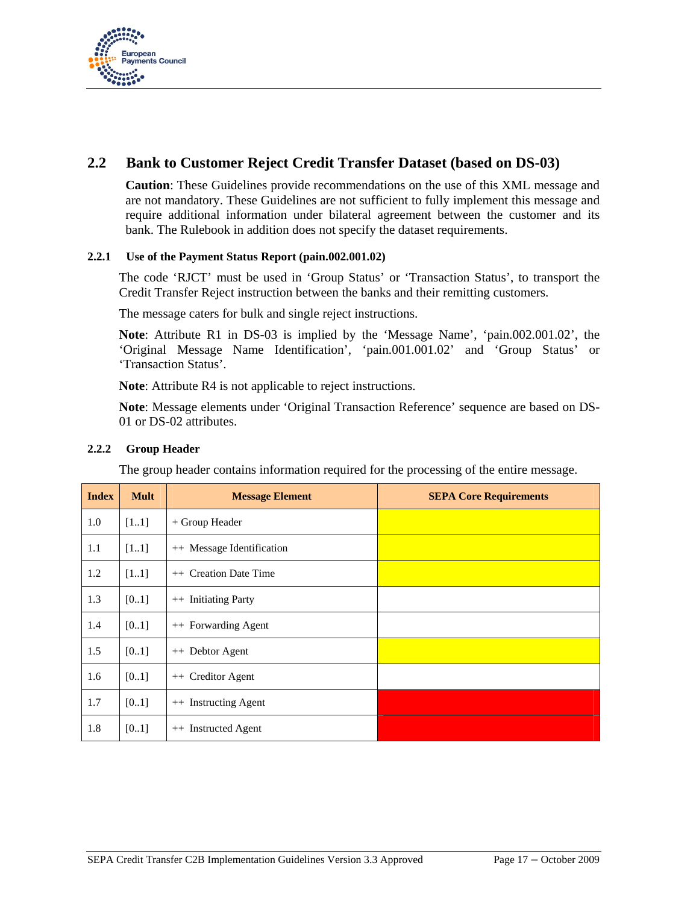

# **2.2 Bank to Customer Reject Credit Transfer Dataset (based on DS-03)**

**Caution**: These Guidelines provide recommendations on the use of this XML message and are not mandatory. These Guidelines are not sufficient to fully implement this message and require additional information under bilateral agreement between the customer and its bank. The Rulebook in addition does not specify the dataset requirements.

#### **2.2.1 Use of the Payment Status Report (pain.002.001.02)**

The code 'RJCT' must be used in 'Group Status' or 'Transaction Status', to transport the Credit Transfer Reject instruction between the banks and their remitting customers.

The message caters for bulk and single reject instructions.

**Note**: Attribute R1 in DS-03 is implied by the 'Message Name', 'pain.002.001.02', the 'Original Message Name Identification', 'pain.001.001.02' and 'Group Status' or 'Transaction Status'.

**Note**: Attribute R4 is not applicable to reject instructions.

**Note**: Message elements under 'Original Transaction Reference' sequence are based on DS-01 or DS-02 attributes.

#### **2.2.2 Group Header**

The group header contains information required for the processing of the entire message.

| <b>Index</b> | <b>Mult</b> | <b>Message Element</b>          | <b>SEPA Core Requirements</b> |
|--------------|-------------|---------------------------------|-------------------------------|
| 1.0          | [11]        | + Group Header                  |                               |
| 1.1          | $[11]$      | ++ Message Identification       |                               |
| 1.2          | $[11]$      | ++ Creation Date Time           |                               |
| 1.3          | [01]        | <b>Initiating Party</b><br>$++$ |                               |
| 1.4          | [01]        | ++ Forwarding Agent             |                               |
| 1.5          | [0.1]       | ++ Debtor Agent                 |                               |
| 1.6          | [0.1]       | ++ Creditor Agent               |                               |
| 1.7          | [0.1]       | ++ Instructing Agent            |                               |
| 1.8          | [0.1]       | <b>Instructed Agent</b><br>$++$ |                               |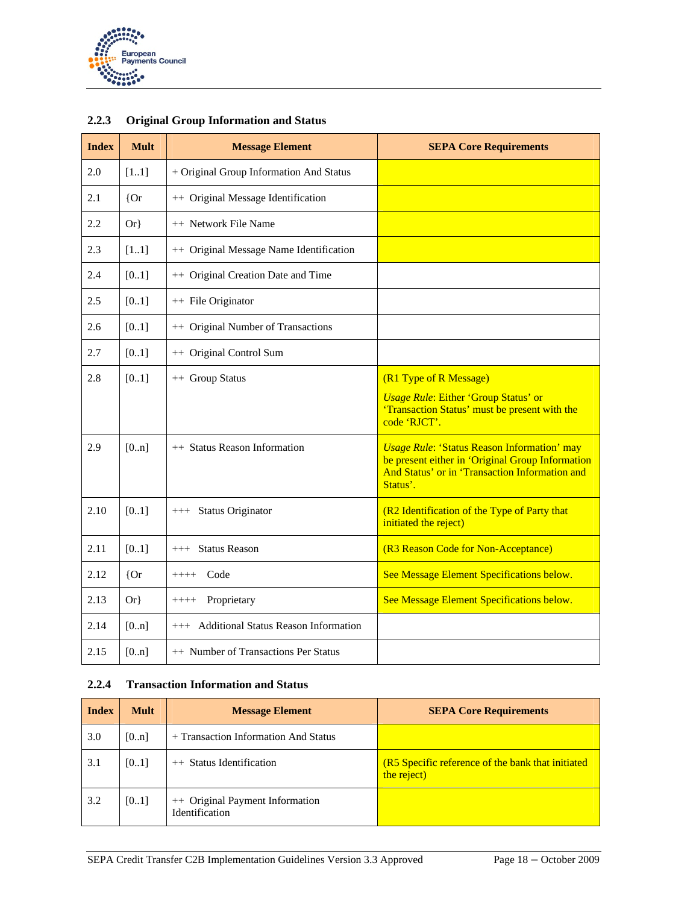

| <b>Index</b> | <b>Mult</b> | <b>Message Element</b>                   | <b>SEPA Core Requirements</b>                                                                                                                                        |
|--------------|-------------|------------------------------------------|----------------------------------------------------------------------------------------------------------------------------------------------------------------------|
| 2.0          | [11]        | + Original Group Information And Status  |                                                                                                                                                                      |
| 2.1          | ${or}$      | ++ Original Message Identification       |                                                                                                                                                                      |
| 2.2          | $Or\}$      | ++ Network File Name                     |                                                                                                                                                                      |
| 2.3          | [11]        | ++ Original Message Name Identification  |                                                                                                                                                                      |
| 2.4          | [01]        | ++ Original Creation Date and Time       |                                                                                                                                                                      |
| 2.5          | [01]        | ++ File Originator                       |                                                                                                                                                                      |
| 2.6          | [01]        | ++ Original Number of Transactions       |                                                                                                                                                                      |
| 2.7          | [01]        | ++ Original Control Sum                  |                                                                                                                                                                      |
| 2.8          | [01]        | ++ Group Status                          | (R1 Type of R Message)                                                                                                                                               |
|              |             |                                          | <b>Usage Rule: Either 'Group Status' or</b><br>'Transaction Status' must be present with the<br>code 'RJCT'.                                                         |
| 2.9          | [0n]        | ++ Status Reason Information             | <b>Usage Rule: 'Status Reason Information' may</b><br>be present either in 'Original Group Information<br>And Status' or in 'Transaction Information and<br>Status'. |
| 2.10         | [0.1]       | +++ Status Originator                    | (R2 Identification of the Type of Party that<br>initiated the reject)                                                                                                |
| 2.11         | [01]        | +++ Status Reason                        | (R3 Reason Code for Non-Acceptance)                                                                                                                                  |
| 2.12         | ${or}$      | Code<br>$++++-$                          | See Message Element Specifications below.                                                                                                                            |
| 2.13         | $Or\}$      | Proprietary<br>$++++-$                   | See Message Element Specifications below.                                                                                                                            |
| 2.14         | [0n]        | +++ Additional Status Reason Information |                                                                                                                                                                      |
| 2.15         | [0n]        | ++ Number of Transactions Per Status     |                                                                                                                                                                      |

### **2.2.3 Original Group Information and Status**

#### **2.2.4 Transaction Information and Status**

| <b>Index</b> | <b>Mult</b> | <b>Message Element</b>                            | <b>SEPA Core Requirements</b>                                    |
|--------------|-------------|---------------------------------------------------|------------------------------------------------------------------|
| 3.0          | [0n]        | + Transaction Information And Status              |                                                                  |
| 3.1          | [0.1]       | ++ Status Identification                          | (R5 Specific reference of the bank that initiated<br>the reject) |
| 3.2          | [0.1]       | ++ Original Payment Information<br>Identification |                                                                  |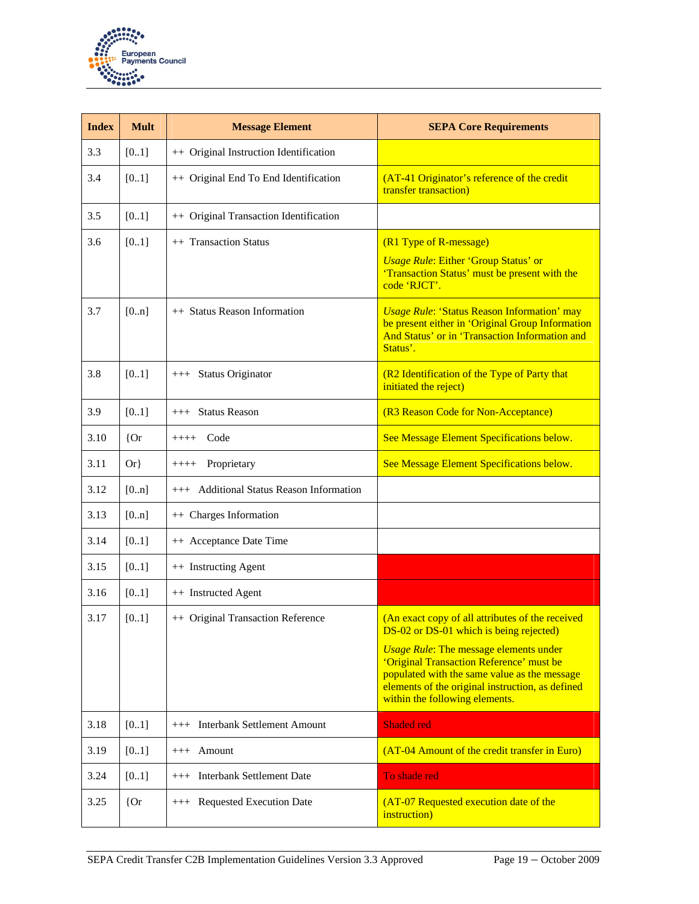

| <b>Index</b> | <b>Mult</b> | <b>Message Element</b>                      | <b>SEPA Core Requirements</b>                                                                                                                                                                                                   |
|--------------|-------------|---------------------------------------------|---------------------------------------------------------------------------------------------------------------------------------------------------------------------------------------------------------------------------------|
| 3.3          | [01]        | ++ Original Instruction Identification      |                                                                                                                                                                                                                                 |
| 3.4          | [01]        | ++ Original End To End Identification       | (AT-41 Originator's reference of the credit<br>transfer transaction)                                                                                                                                                            |
| 3.5          | [01]        | ++ Original Transaction Identification      |                                                                                                                                                                                                                                 |
| 3.6          | [01]        | ++ Transaction Status                       | (R1 Type of R-message)<br><b>Usage Rule: Either 'Group Status' or</b><br>'Transaction Status' must be present with the<br>code 'RJCT'.                                                                                          |
| 3.7          | [0n]        | ++ Status Reason Information                | <b>Usage Rule: 'Status Reason Information' may</b><br>be present either in 'Original Group Information<br>And Status' or in 'Transaction Information and<br>Status'.                                                            |
| 3.8          | [0.1]       | +++ Status Originator                       | (R2 Identification of the Type of Party that<br>initiated the reject)                                                                                                                                                           |
| 3.9          | [01]        | +++ Status Reason                           | (R3 Reason Code for Non-Acceptance)                                                                                                                                                                                             |
| 3.10         | ${or}$      | Code<br>$++++-$                             | See Message Element Specifications below.                                                                                                                                                                                       |
| 3.11         | $Or\}$      | Proprietary<br>$++++-$                      | See Message Element Specifications below.                                                                                                                                                                                       |
| 3.12         | [0n]        | +++ Additional Status Reason Information    |                                                                                                                                                                                                                                 |
| 3.13         | [0n]        | ++ Charges Information                      |                                                                                                                                                                                                                                 |
| 3.14         | [01]        | ++ Acceptance Date Time                     |                                                                                                                                                                                                                                 |
| 3.15         | [01]        | ++ Instructing Agent                        |                                                                                                                                                                                                                                 |
| 3.16         | [01]        | ++ Instructed Agent                         |                                                                                                                                                                                                                                 |
| 3.17         | [0.1]       | ++ Original Transaction Reference           | (An exact copy of all attributes of the received<br>DS-02 or DS-01 which is being rejected)                                                                                                                                     |
|              |             |                                             | <b>Usage Rule: The message elements under</b><br>'Original Transaction Reference' must be<br>populated with the same value as the message<br>elements of the original instruction, as defined<br>within the following elements. |
| 3.18         | [01]        | <b>Interbank Settlement Amount</b><br>$+++$ | <b>Shaded red</b>                                                                                                                                                                                                               |
| 3.19         | [01]        | Amount<br>$+++$                             | (AT-04 Amount of the credit transfer in Euro)                                                                                                                                                                                   |
| 3.24         | [01]        | <b>Interbank Settlement Date</b><br>$+++$   | To shade red                                                                                                                                                                                                                    |
| 3.25         | ${or}$      | +++ Requested Execution Date                | (AT-07 Requested execution date of the<br>instruction)                                                                                                                                                                          |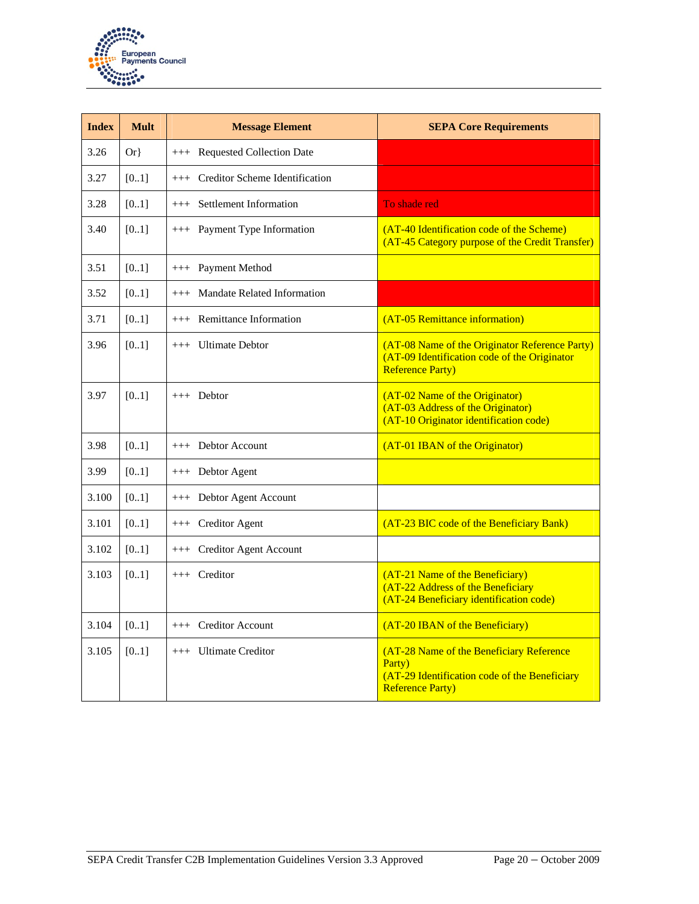

| <b>Index</b> | <b>Mult</b> | <b>Message Element</b>                      | <b>SEPA Core Requirements</b>                                                                                                  |
|--------------|-------------|---------------------------------------------|--------------------------------------------------------------------------------------------------------------------------------|
| 3.26         | $Or\}$      | +++ Requested Collection Date               |                                                                                                                                |
| 3.27         | [01]        | +++ Creditor Scheme Identification          |                                                                                                                                |
| 3.28         | [0.1]       | +++ Settlement Information                  | To shade red                                                                                                                   |
| 3.40         | [0.1]       | +++ Payment Type Information                | (AT-40 Identification code of the Scheme)<br>(AT-45 Category purpose of the Credit Transfer)                                   |
| 3.51         | [0.1]       | +++ Payment Method                          |                                                                                                                                |
| 3.52         | [0.1]       | <b>Mandate Related Information</b><br>$+++$ |                                                                                                                                |
| 3.71         | [01]        | +++ Remittance Information                  | (AT-05 Remittance information)                                                                                                 |
| 3.96         | [0.1]       | $++$ Ultimate Debtor                        | (AT-08 Name of the Originator Reference Party)<br>(AT-09 Identification code of the Originator<br><b>Reference Party)</b>      |
| 3.97         | [0.1]       | $++$ Debtor                                 | (AT-02 Name of the Originator)<br>(AT-03 Address of the Originator)<br>(AT-10 Originator identification code)                  |
| 3.98         | [0.1]       | +++ Debtor Account                          | (AT-01 IBAN of the Originator)                                                                                                 |
| 3.99         | [0.1]       | +++ Debtor Agent                            |                                                                                                                                |
| 3.100        | [0.1]       | +++ Debtor Agent Account                    |                                                                                                                                |
| 3.101        | [0.1]       | +++ Creditor Agent                          | (AT-23 BIC code of the Beneficiary Bank)                                                                                       |
| 3.102        | [01]        | +++ Creditor Agent Account                  |                                                                                                                                |
| 3.103        | [0.1]       | $++$ Creditor                               | (AT-21 Name of the Beneficiary)<br>(AT-22 Address of the Beneficiary<br>(AT-24 Beneficiary identification code)                |
| 3.104        | [01]        | +++ Creditor Account                        | (AT-20 IBAN of the Beneficiary)                                                                                                |
| 3.105        | [01]        | +++ Ultimate Creditor                       | (AT-28 Name of the Beneficiary Reference<br>Party)<br>(AT-29 Identification code of the Beneficiary<br><b>Reference Party)</b> |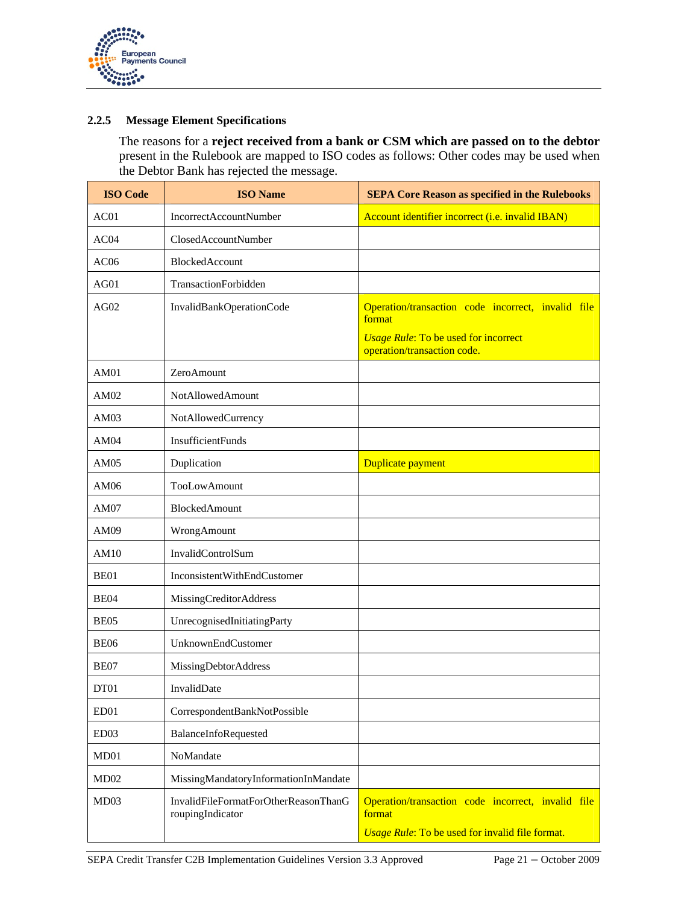

#### **2.2.5 Message Element Specifications**

The reasons for a **reject received from a bank or CSM which are passed on to the debtor**  present in the Rulebook are mapped to ISO codes as follows: Other codes may be used when the Debtor Bank has rejected the message.

| <b>ISO Code</b>  | <b>ISO Name</b>                                          | <b>SEPA Core Reason as specified in the Rulebooks</b>                      |
|------------------|----------------------------------------------------------|----------------------------------------------------------------------------|
| AC01             | IncorrectAccountNumber                                   | Account identifier incorrect (i.e. invalid IBAN)                           |
| AC04             | ClosedAccountNumber                                      |                                                                            |
| AC06             | BlockedAccount                                           |                                                                            |
| AG01             | TransactionForbidden                                     |                                                                            |
| AG02             | InvalidBankOperationCode                                 | Operation/transaction code incorrect, invalid file<br>format               |
|                  |                                                          | <b>Usage Rule: To be used for incorrect</b><br>operation/transaction code. |
| AM01             | ZeroAmount                                               |                                                                            |
| AM02             | NotAllowedAmount                                         |                                                                            |
| AM03             | NotAllowedCurrency                                       |                                                                            |
| AM04             | <b>InsufficientFunds</b>                                 |                                                                            |
| AM05             | Duplication                                              | Duplicate payment                                                          |
| AM06             | TooLowAmount                                             |                                                                            |
| AM07             | BlockedAmount                                            |                                                                            |
| AM09             | WrongAmount                                              |                                                                            |
| AM10             | InvalidControlSum                                        |                                                                            |
| BE01             | InconsistentWithEndCustomer                              |                                                                            |
| <b>BE04</b>      | MissingCreditorAddress                                   |                                                                            |
| <b>BE05</b>      | UnrecognisedInitiatingParty                              |                                                                            |
| <b>BE06</b>      | UnknownEndCustomer                                       |                                                                            |
| BE07             | MissingDebtorAddress                                     |                                                                            |
| DT01             | InvalidDate                                              |                                                                            |
| ED <sub>01</sub> | CorrespondentBankNotPossible                             |                                                                            |
| ED <sub>03</sub> | BalanceInfoRequested                                     |                                                                            |
| MD01             | NoMandate                                                |                                                                            |
| MD02             | MissingMandatoryInformationInMandate                     |                                                                            |
| MD03             | InvalidFileFormatForOtherReasonThanG<br>roupingIndicator | Operation/transaction code incorrect, invalid file<br>format               |
|                  |                                                          | Usage Rule: To be used for invalid file format.                            |